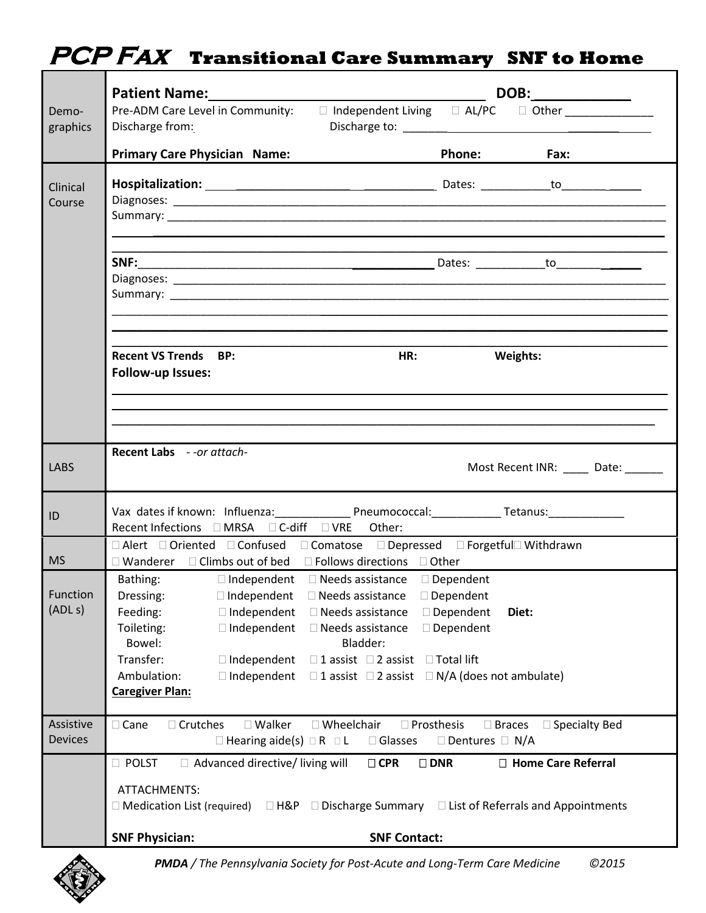## **PCP Fax Transitional Care Summary SNF to Home**

|                                 | <b>Patient Name:</b> Name:                                                                                                                                                                                                                                                                                                                                                                                                                                                                     |                                                                                            |
|---------------------------------|------------------------------------------------------------------------------------------------------------------------------------------------------------------------------------------------------------------------------------------------------------------------------------------------------------------------------------------------------------------------------------------------------------------------------------------------------------------------------------------------|--------------------------------------------------------------------------------------------|
| Demo-<br>graphics               | Pre-ADM Care Level in Community: □ Independent Living □ AL/PC □ Other __________<br>Discharge from:                                                                                                                                                                                                                                                                                                                                                                                            |                                                                                            |
|                                 | <b>Primary Care Physician Name:</b>                                                                                                                                                                                                                                                                                                                                                                                                                                                            | <b>Phone:</b><br>Fax:                                                                      |
| Clinical<br>Course              |                                                                                                                                                                                                                                                                                                                                                                                                                                                                                                |                                                                                            |
|                                 |                                                                                                                                                                                                                                                                                                                                                                                                                                                                                                |                                                                                            |
|                                 | <b>Recent VS Trends BP:</b><br>HR:<br><b>Follow-up Issues:</b>                                                                                                                                                                                                                                                                                                                                                                                                                                 | Weights:                                                                                   |
| <b>LABS</b>                     | Recent Labs - -or attach-                                                                                                                                                                                                                                                                                                                                                                                                                                                                      | Most Recent INR: _____ Date: ______                                                        |
| ID                              | Vax dates if known: Influenza: Pneumococcal: Tetanus: Tetanus:                                                                                                                                                                                                                                                                                                                                                                                                                                 |                                                                                            |
| <b>MS</b>                       | $\Box$ Alert $\Box$ Oriented $\Box$ Confused $\Box$ Comatose $\Box$ Depressed $\Box$ Forgetful $\Box$ Withdrawn<br>$\Box$ Wanderer $\Box$ Climbs out of bed $\Box$ Follows directions $\Box$ Other                                                                                                                                                                                                                                                                                             |                                                                                            |
| Function<br>(ADL <sub>S</sub> ) | Bathing: □ Independent □ Needs assistance □ Dependent<br>Dressing:<br>$\Box$ Independent<br>$\Box$ Needs assistance<br>$\Box$ Independent<br>$\Box$ Needs assistance<br>Feeding:<br>$\Box$ Independent<br>Toileting:<br>$\Box$ Needs assistance<br>Bowel:<br>Bladder:<br>Transfer:<br>$\Box$ 1 assist $\Box$ 2 assist $\Box$ Total lift<br>$\Box$ Independent<br>Ambulation:<br>$\Box$ Independent<br>$\Box$ 1 assist $\Box$ 2 assist $\Box$ N/A (does not ambulate)<br><b>Caregiver Plan:</b> | Dependent<br>$\square$ Dependent<br>Diet:<br>$\square$ Dependent                           |
| Assistive<br><b>Devices</b>     | $\square$ Walker<br>$\Box$ Cane<br>□ Crutches<br>$\square$ Wheelchair<br>$\Box$ Prosthesis<br>$\Box$ Hearing aide(s) $\Box$ R $\Box$ L<br>$\Box$ Glasses                                                                                                                                                                                                                                                                                                                                       | $\Box$ Specialty Bed<br>$\square$ Braces<br>$\Box$ Dentures $\Box$ N/A                     |
|                                 | $\Box$ Advanced directive/ living will<br>$\Box$ POLST<br>$\Box$ CPR<br>$\square$ DNR<br>ATTACHMENTS:<br>$\Box$ Medication List (required)<br>$\Box$ H&P<br><b>SNF Physician:</b><br><b>SNF Contact:</b>                                                                                                                                                                                                                                                                                       | □ Home Care Referral<br>$\Box$ Discharge Summary $\Box$ List of Referrals and Appointments |